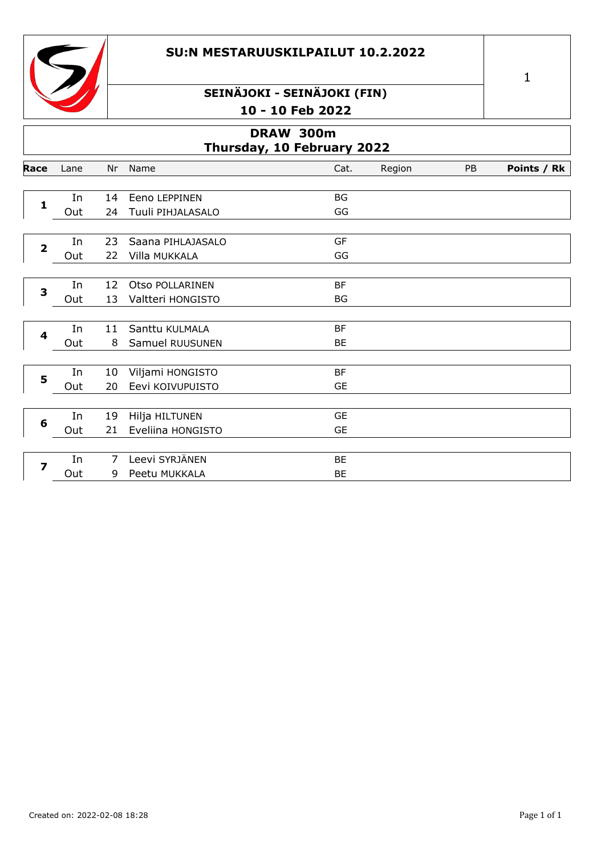#### **SU:N MESTARUUSKILPAILUT 10.2.2022**



## **SEINÄJOKI - SEINÄJOKI (FIN) 10 - 10 Feb 2022**

| DRAW 300m<br>Thursday, 10 February 2022 |           |                     |                                      |                        |        |    |             |
|-----------------------------------------|-----------|---------------------|--------------------------------------|------------------------|--------|----|-------------|
| Race                                    | Lane      | Nr                  | Name                                 | Cat.                   | Region | PB | Points / Rk |
| $\mathbf{1}$                            | In<br>Out | 14<br>24            | Eeno LEPPINEN<br>Tuuli PIHJALASALO   | <b>BG</b><br>GG        |        |    |             |
| $\overline{\mathbf{2}}$                 | In<br>Out | 23<br>22            | Saana PIHLAJASALO<br>Villa MUKKALA   | GF<br>GG               |        |    |             |
| 3                                       | In<br>Out | 12<br>13            | Otso POLLARINEN<br>Valtteri HONGISTO | <b>BF</b><br><b>BG</b> |        |    |             |
| $\overline{\mathbf{4}}$                 | In<br>Out | 11<br>8             | Santtu KULMALA<br>Samuel RUUSUNEN    | <b>BF</b><br>BE        |        |    |             |
| 5                                       | In<br>Out | 10<br>20            | Viljami HONGISTO<br>Eevi KOIVUPUISTO | BF<br><b>GE</b>        |        |    |             |
| 6                                       | In<br>Out | 19<br>21            | Hilja HILTUNEN<br>Eveliina HONGISTO  | <b>GE</b><br><b>GE</b> |        |    |             |
| 7                                       | In<br>Out | $\overline{7}$<br>9 | Leevi SYRJÄNEN<br>Peetu MUKKALA      | BE<br>BE               |        |    |             |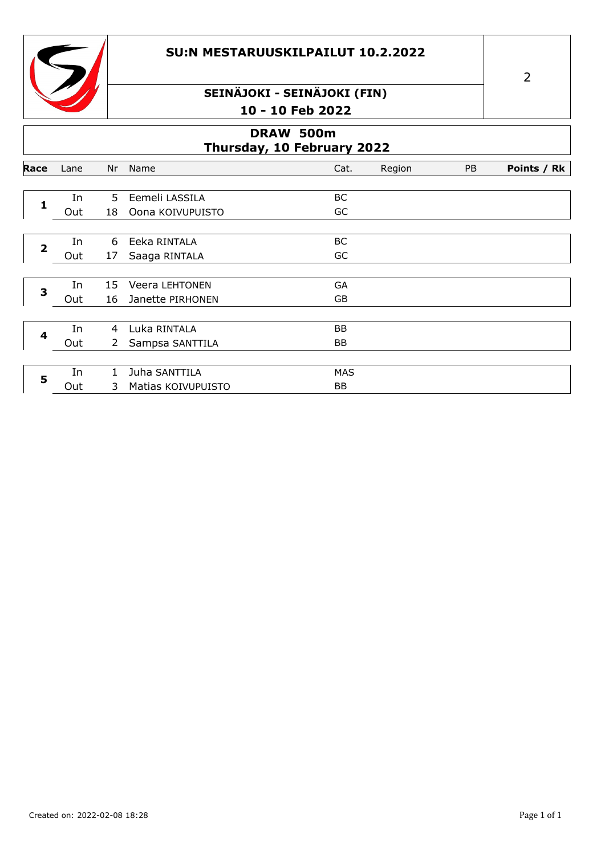#### **SU:N MESTARUUSKILPAILUT 10.2.2022**



## **SEINÄJOKI - SEINÄJOKI (FIN) 10 - 10 Feb 2022**

| DRAW 500m<br>Thursday, 10 February 2022 |      |              |                       |            |        |    |             |
|-----------------------------------------|------|--------------|-----------------------|------------|--------|----|-------------|
| Race                                    | Lane | Nr           | Name                  | Cat.       | Region | PB | Points / Rk |
| 1                                       | In   | .5.          | Eemeli LASSILA        | ВC         |        |    |             |
|                                         | Out  | 18           | Oona KOIVUPUISTO      | GC         |        |    |             |
| $\overline{2}$                          | In   | 6            | Eeka RINTALA          | BC         |        |    |             |
|                                         | Out  | 17           | Saaga RINTALA         | GC         |        |    |             |
|                                         | In   | 15           | <b>Veera LEHTONEN</b> | GA         |        |    |             |
| 3                                       | Out  | 16           | Janette PIRHONEN      | GB         |        |    |             |
|                                         |      |              |                       |            |        |    |             |
| 4                                       | In   | 4            | Luka RINTALA          | BB         |        |    |             |
|                                         | Out  | $\mathbf{2}$ | Sampsa SANTTILA       | <b>BB</b>  |        |    |             |
|                                         | In   | $\mathbf{1}$ | Juha SANTTILA         | <b>MAS</b> |        |    |             |
| 5                                       | Out  | 3            | Matias KOIVUPUISTO    | BB         |        |    |             |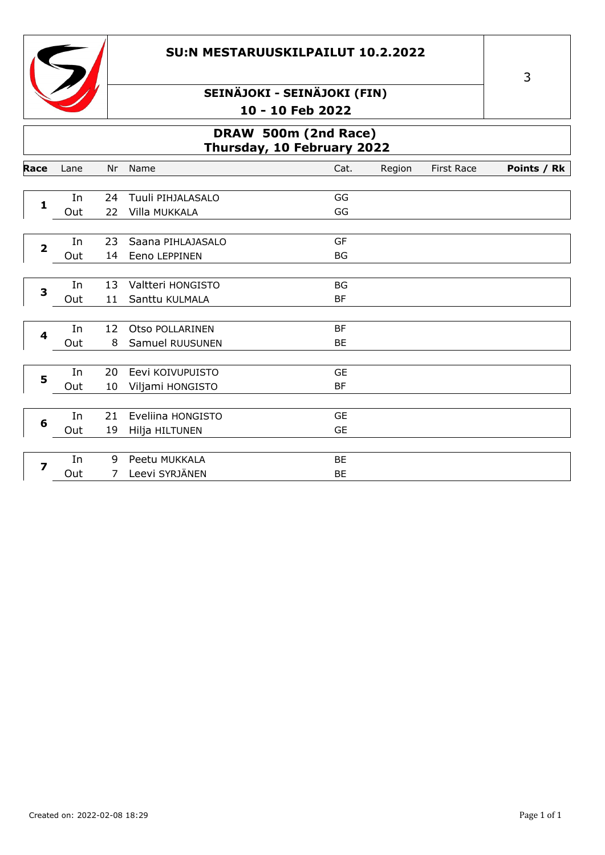#### **SU:N MESTARUUSKILPAILUT 10.2.2022**



## **SEINÄJOKI - SEINÄJOKI (FIN) 10 - 10 Feb 2022**

### **DRAW 500m (2nd Race) Thursday, 10 February 2022**

| Race                    | Lane | Nr             | Name              | Cat.      | Region | <b>First Race</b> | Points / Rk |
|-------------------------|------|----------------|-------------------|-----------|--------|-------------------|-------------|
|                         |      |                |                   |           |        |                   |             |
| $\mathbf{1}$            | In   | 24             | Tuuli PIHJALASALO | GG        |        |                   |             |
|                         | Out  | 22             | Villa MUKKALA     | GG        |        |                   |             |
|                         |      |                |                   |           |        |                   |             |
| $\overline{\mathbf{2}}$ | In   | 23             | Saana PIHLAJASALO | GF        |        |                   |             |
|                         | Out  | 14             | Eeno LEPPINEN     | BG        |        |                   |             |
|                         |      |                |                   |           |        |                   |             |
| 3                       | In   | 13             | Valtteri HONGISTO | <b>BG</b> |        |                   |             |
|                         | Out  | 11             | Santtu KULMALA    | <b>BF</b> |        |                   |             |
|                         |      |                |                   |           |        |                   |             |
| 4                       | In   | 12             | Otso POLLARINEN   | <b>BF</b> |        |                   |             |
|                         | Out  | 8              | Samuel RUUSUNEN   | BE        |        |                   |             |
|                         |      |                |                   |           |        |                   |             |
| 5                       | In   | 20             | Eevi KOIVUPUISTO  | <b>GE</b> |        |                   |             |
|                         | Out  | 10             | Viljami HONGISTO  | <b>BF</b> |        |                   |             |
|                         |      |                |                   |           |        |                   |             |
| 6                       | In   | 21             | Eveliina HONGISTO | <b>GE</b> |        |                   |             |
|                         | Out  | 19             | Hilja HILTUNEN    | <b>GE</b> |        |                   |             |
|                         |      |                |                   |           |        |                   |             |
| $\overline{z}$          | In   | 9              | Peetu MUKKALA     | BE        |        |                   |             |
|                         | Out  | $\overline{7}$ | Leevi SYRJÄNEN    | BE        |        |                   |             |